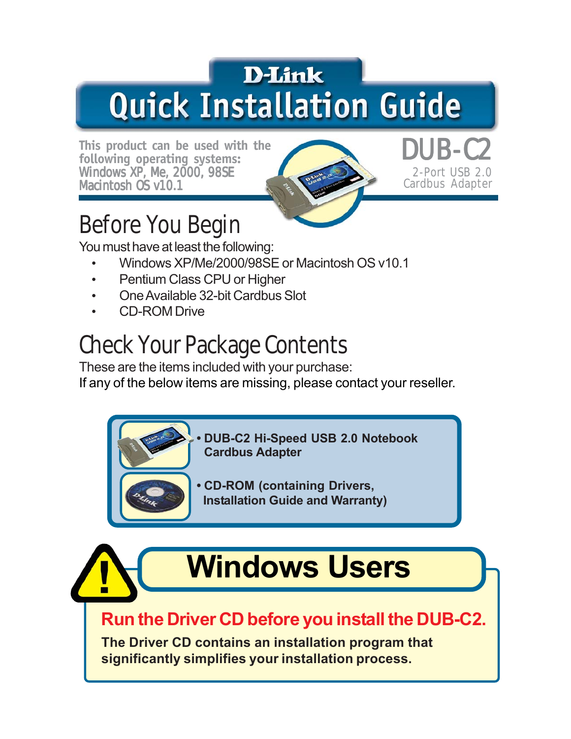# **D-Link Quick Installation Guide**

This product can be used with the **following operating systems: Windows XP, Me, 2000, 98SE Macintosh OS v10.1**



**2-Port USB 2.0 Cardbus Adapter**

# **Before You Begin**

You must have at least the following:

- Windows XP/Me/2000/98SE or Macintosh OS v10.1
- Pentium Class CPU or Higher
- One Available 32-bit Cardbus Slot
- CD-ROM Drive

# **Check Your Package Contents**

These are the items included with your purchase:

If any of the below items are missing, please contact your reseller.

**• DUB-C2 Hi-Speed USB 2.0 Notebook Cardbus Adapter**

**• CD-ROM (containing Drivers, Installation Guide and Warranty)**

# **Windows Users**

**Run the Driver CD before you install the DUB-C2.**

**The Driver CD contains an installation program that significantly simplifies your installation process.**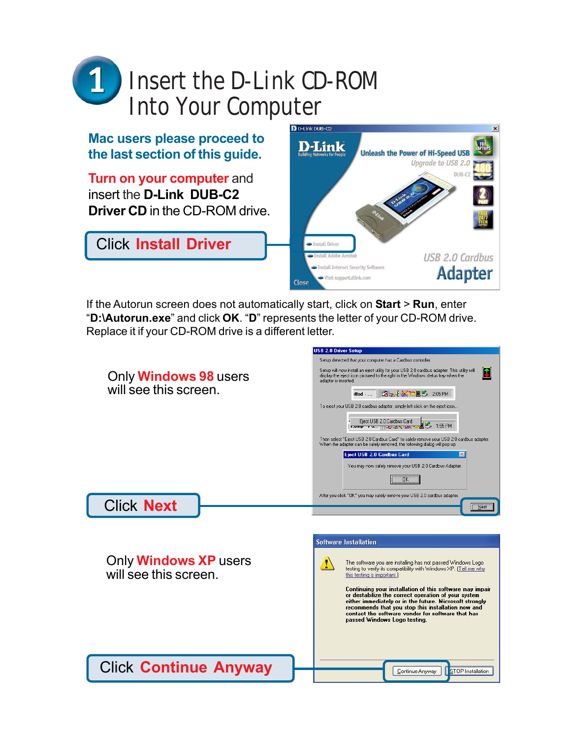

**Mac users please proceed to the last section of this guide.**

**Turn on your computer and** insert the **D-Link DUB-C2 Driver CD** in the CD-ROM drive.

Click **Install Driver**



If the Autorun screen does not automatically start, click on **Start** > **Run**, enter "**D:\Autorun.exe**" and click **OK**. "**D**" represents the letter of your CD-ROM drive. Replace it if your CD-ROM drive is a different letter.

USB 2.0 Driver Setup

|                                                       | Setup detected that your computer has a Cardbus controller.                                                                                                                                                                                                                                                                                                                                                                                                                                                                                                                                                                      |
|-------------------------------------------------------|----------------------------------------------------------------------------------------------------------------------------------------------------------------------------------------------------------------------------------------------------------------------------------------------------------------------------------------------------------------------------------------------------------------------------------------------------------------------------------------------------------------------------------------------------------------------------------------------------------------------------------|
| Only <b>Windows 98</b> users<br>will see this screen. | Setup will now install an eject utility for your USB 2.0 cardbus adapter. This utility will<br>ĸ<br>display the eject icon pictured to the right in the Windows status tray when the<br>adapter is inserted.<br><b>BLIKTES 205PM</b><br>itled -<br>To eject your USB 2.0 cardbus adapter, simply left click on the eject icon<br>Eject USB 2.0 Cardbus Card<br>$\mathbf{8}$ 1:55 PM<br>TOMP THAT THE LONG WIND<br>Then select "Eject USB 2.0 Cardbus Card" to safely remove your USB 2.0 cardbus adapter.<br>When the adapter can be safely removed, the following dialog will pop up:<br>Eject USB 2.0 Cardbus Card<br>$\infty$ |
|                                                       | You may now safely remove your USB 2.0 Cardbus Adapter.                                                                                                                                                                                                                                                                                                                                                                                                                                                                                                                                                                          |
|                                                       | ÖK                                                                                                                                                                                                                                                                                                                                                                                                                                                                                                                                                                                                                               |
|                                                       | After you click "OK" you may safely remove your USB 2.0 cardbus adapter.                                                                                                                                                                                                                                                                                                                                                                                                                                                                                                                                                         |
| <b>Click Next</b>                                     | <b>Next</b>                                                                                                                                                                                                                                                                                                                                                                                                                                                                                                                                                                                                                      |
| Only <b>Windows XP</b> users<br>will see this screen. | <b>Software Installation</b><br>The software you are installing has not passed Windows Logo<br>testing to verify its compatibility with Windows XP. [Tell me why<br>this testing is important.                                                                                                                                                                                                                                                                                                                                                                                                                                   |
|                                                       | Continuing your installation of this software may impair<br>or destabilize the correct operation of your system<br>either immediately or in the future. Microsoft strongly<br>recommends that you stop this installation now and<br>contact the software vendor for software that has<br>passed Windows Logo testing.                                                                                                                                                                                                                                                                                                            |
| <b>Click Continue Anyway</b>                          | <b>STOP</b> Installation<br>Continue Anyway                                                                                                                                                                                                                                                                                                                                                                                                                                                                                                                                                                                      |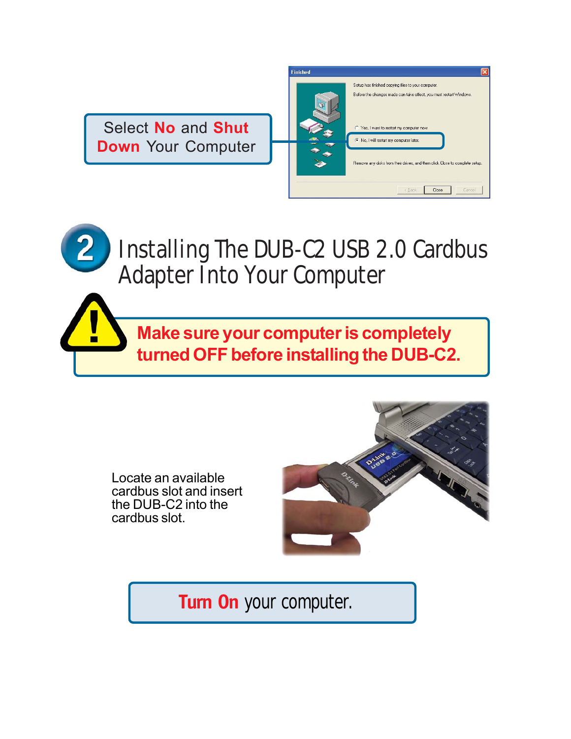Select **No** and **Shut Down** Your Computer

| <b>Finished</b> |                                                                             |
|-----------------|-----------------------------------------------------------------------------|
|                 | Setup has finished copying files to your computer.                          |
|                 | Before the changes made can take effect, you must restart Windows.          |
|                 | C Yes, I want to restart my computer now.                                   |
|                 | No, I will restart my computer later.                                       |
|                 | Remove any disks from their drives, and then click Close to complete setup. |
|                 | Close<br>< Back<br>Cancel                                                   |

# **Installing The DUB-C2 USB 2.0 Cardbus Adapter Into Your Computer**

**Make sure your computer is completely turned OFF before installing the DUB-C2.**

Locate an available cardbus slot and insert the DUB-C2 into the cardbus slot.

Н



**Turn On** your computer.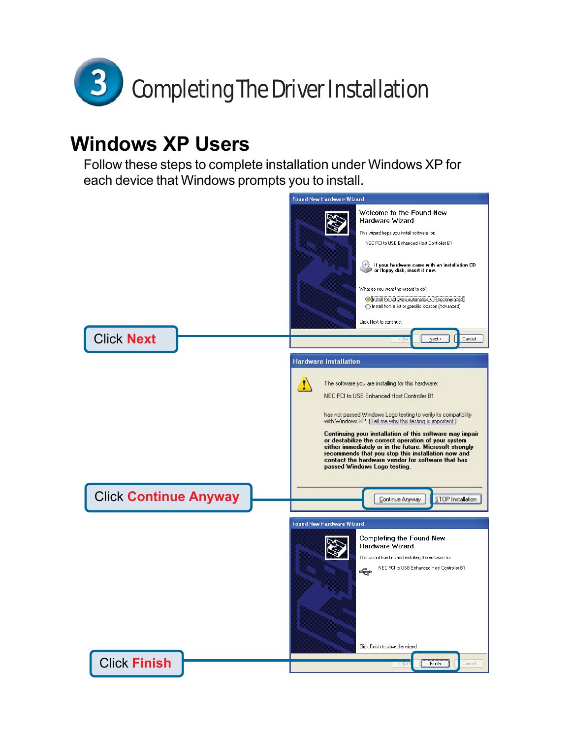

#### **Windows XP Users**

Follow these steps to complete installation under Windows XP for each device that Windows prompts you to install.

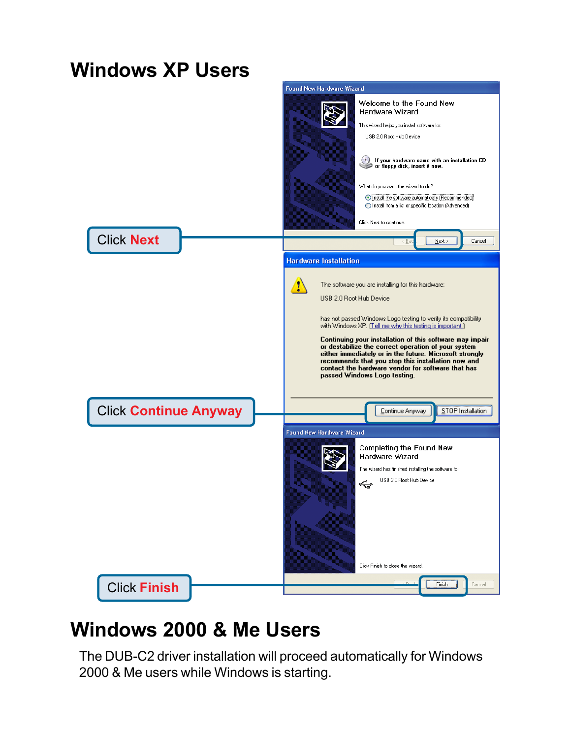

### **Windows 2000 & Me Users**

The DUB-C2 driver installation will proceed automatically for Windows 2000 & Me users while Windows is starting.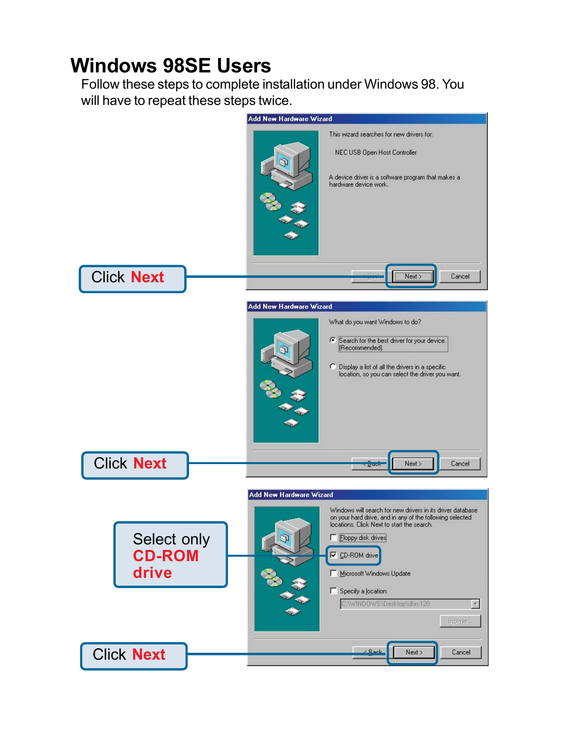### **Windows 98SE Users**

Follow these steps to complete installation under Windows 98. You will have to repeat these steps twice.

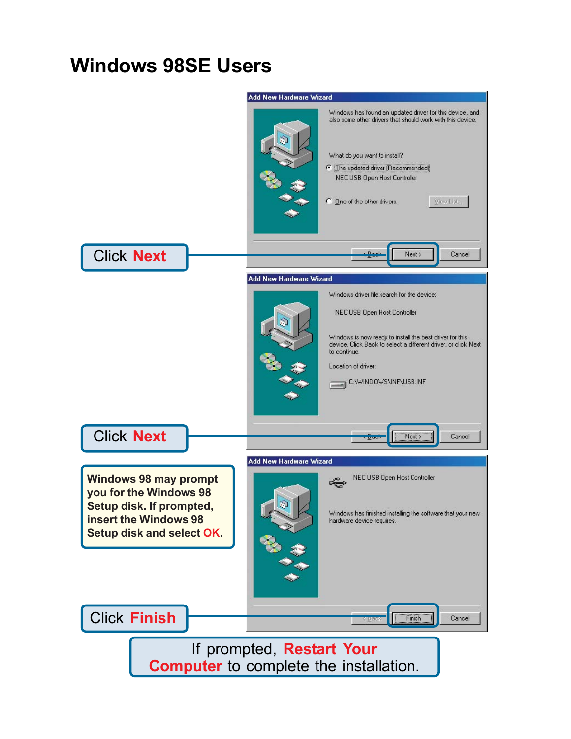### **Windows 98SE Users**

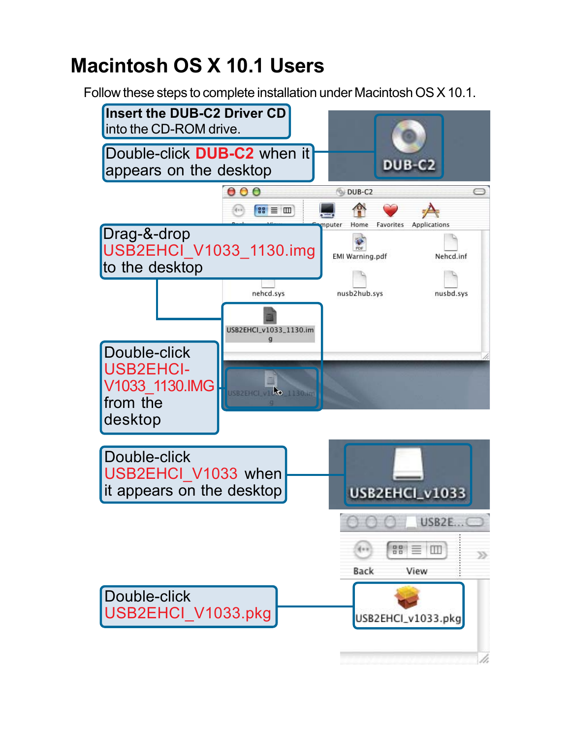## **Macintosh OS X 10.1 Users**

Follow these steps to complete installation under Macintosh OS X 10.1.

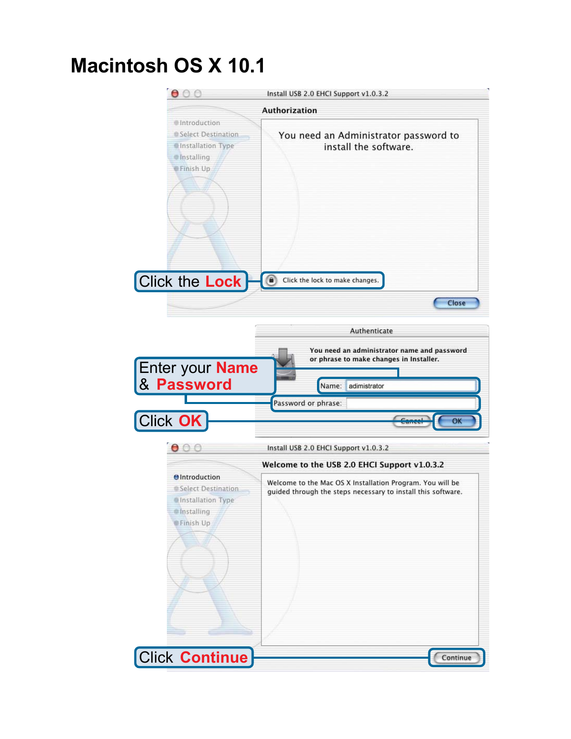## **Macintosh OS X 10.1**

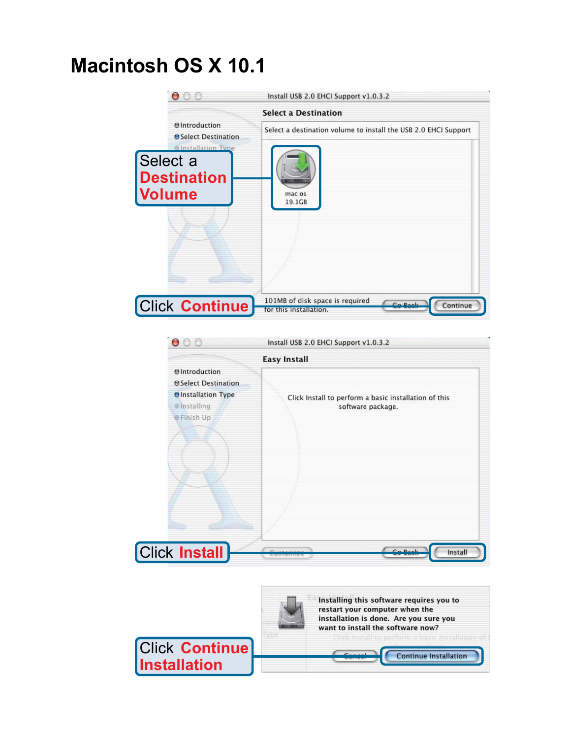## **Macintosh OS X 10.1**





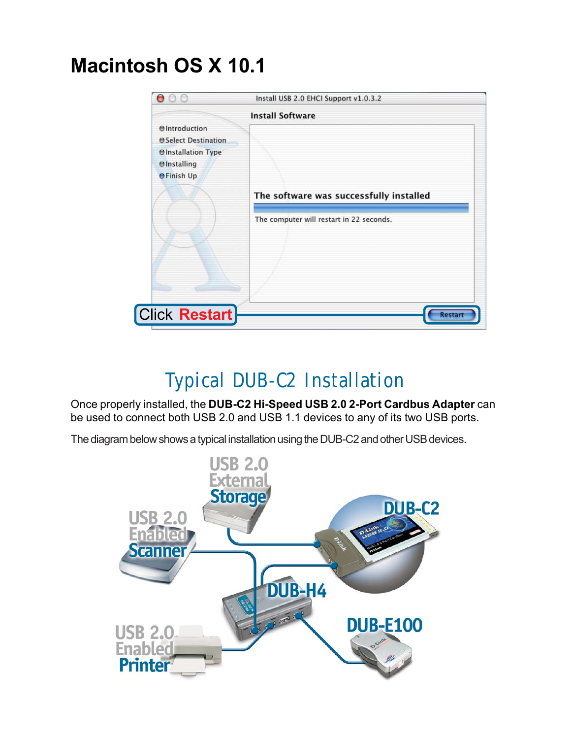## **Macintosh OS X 10.1**



## **Typical DUB-C2 Installation**

Once properly installed, the **DUB-C2 Hi-Speed USB 2.0 2-Port Cardbus Adapter** can be used to connect both USB 2.0 and USB 1.1 devices to any of its two USB ports.

The diagram below shows a typical installation using the DUB-C2 and other USB devices.

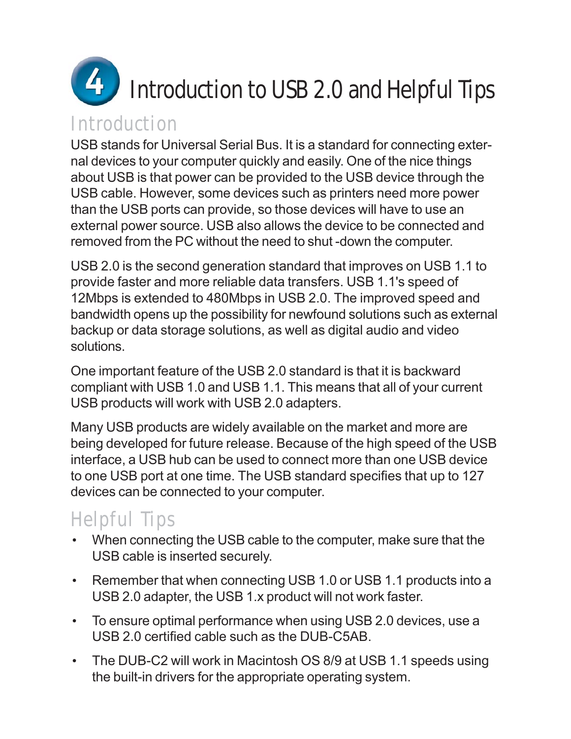

#### **Introduction**

USB stands for Universal Serial Bus. It is a standard for connecting external devices to your computer quickly and easily. One of the nice things about USB is that power can be provided to the USB device through the USB cable. However, some devices such as printers need more power than the USB ports can provide, so those devices will have to use an external power source. USB also allows the device to be connected and removed from the PC without the need to shut -down the computer.

USB 2.0 is the second generation standard that improves on USB 1.1 to provide faster and more reliable data transfers. USB 1.1's speed of 12Mbps is extended to 480Mbps in USB 2.0. The improved speed and bandwidth opens up the possibility for newfound solutions such as external backup or data storage solutions, as well as digital audio and video solutions.

One important feature of the USB 2.0 standard is that it is backward compliant with USB 1.0 and USB 1.1. This means that all of your current USB products will work with USB 2.0 adapters.

Many USB products are widely available on the market and more are being developed for future release. Because of the high speed of the USB interface, a USB hub can be used to connect more than one USB device to one USB port at one time. The USB standard specifies that up to 127 devices can be connected to your computer.

### **Helpful Tips**

- When connecting the USB cable to the computer, make sure that the USB cable is inserted securely.
- Remember that when connecting USB 1.0 or USB 1.1 products into a USB 2.0 adapter, the USB 1.x product will not work faster.
- To ensure optimal performance when using USB 2.0 devices, use a USB 2.0 certified cable such as the DUB-C5AB.
- The DUB-C2 will work in Macintosh OS 8/9 at USB 1.1 speeds using the built-in drivers for the appropriate operating system.